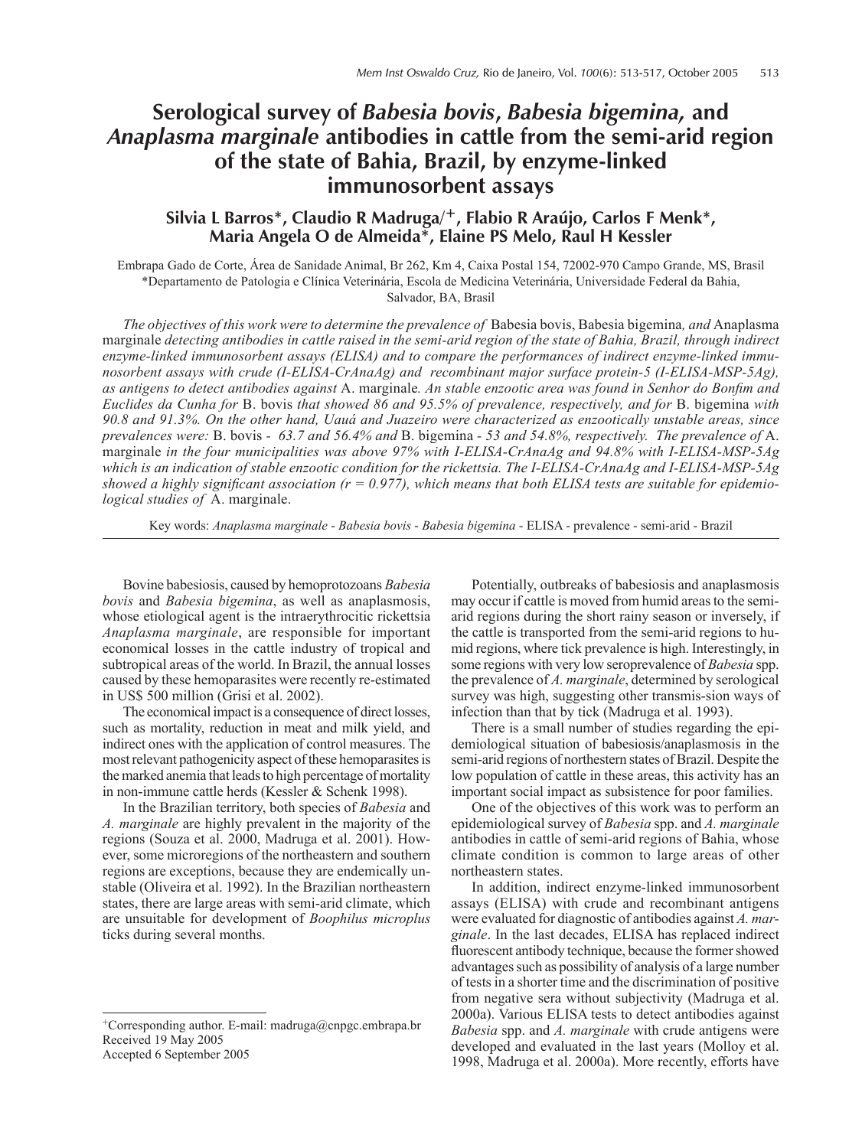# **Serological survey of** *Babesia bovis***,** *Babesia bigemina,* **and**  *Anaplasma marginale* **antibodies in cattle from the semi-arid region of the state of Bahia, Brazil, by enzyme-linked immunosorbent assays**

# **Silvia L Barros\*, Claudio R Madruga/+, Flabio R Araújo, Carlos F Menk\*, Maria Angela O de Almeida\*, Elaine PS Melo, Raul H Kessler**

Embrapa Gado de Corte, Área de Sanidade Animal, Br 262, Km 4, Caixa Postal 154, 72002-970 Campo Grande, MS, Brasil \*Departamento de Patologia e Clínica Veterinária, Escola de Medicina Veterinária, Universidade Federal da Bahia, Salvador, BA, Brasil

*The objectives of this work were to determine the prevalence of* Babesia bovis, Babesia bigemina*, and* Anaplasma marginale *detecting antibodies in cattle raised in the semi-arid region of the state of Bahia, Brazil, through indirect enzyme-linked immunosorbent assays (ELISA) and to compare the performances of indirect enzyme-linked immunosorbent assays with crude (I-ELISA-CrAnaAg) and recombinant major surface protein-5 (I-ELISA-MSP-5Ag), as antigens to detect antibodies against* A. marginale*. An stable enzootic area was found in Senhor do Bonfim and Euclides da Cunha for* B. bovis *that showed 86 and 95.5% of prevalence, respectively, and for* B. bigemina *with 90.8 and 91.3%. On the other hand, Uauá and Juazeiro were characterized as enzootically unstable areas, since prevalences were:* B. bovis *- 63.7 and 56.4% and* B. bigemina *- 53 and 54.8%, respectively. The prevalence of* A. marginale *in the four municipalities was above 97% with I-ELISA-CrAnaAg and 94.8% with I-ELISA-MSP-5Ag which is an indication of stable enzootic condition for the rickettsia. The I-ELISA-CrAnaAg and I-ELISA-MSP-5Ag showed a highly significant association (r = 0.977), which means that both ELISA tests are suitable for epidemiological studies of* A. marginale.

Key words: *Anaplasma marginale* - *Babesia bovis* - *Babesia bigemina* - ELISA - prevalence - semi-arid - Brazil

Bovine babesiosis, caused by hemoprotozoans *Babesia bovis* and *Babesia bigemina*, as well as anaplasmosis, whose etiological agent is the intraerythrocitic rickettsia *Anaplasma marginale*, are responsible for important economical losses in the cattle industry of tropical and subtropical areas of the world. In Brazil, the annual losses caused by these hemoparasites were recently re-estimated in US\$ 500 million (Grisi et al. 2002).

The economical impact is a consequence of direct losses, such as mortality, reduction in meat and milk yield, and indirect ones with the application of control measures. The most relevant pathogenicity aspect of these hemoparasites is the marked anemia that leads to high percentage of mortality in non-immune cattle herds (Kessler & Schenk 1998).

In the Brazilian territory, both species of *Babesia* and *A. marginale* are highly prevalent in the majority of the regions (Souza et al. 2000, Madruga et al. 2001). However, some microregions of the northeastern and southern regions are exceptions, because they are endemically unstable (Oliveira et al. 1992). In the Brazilian northeastern states, there are large areas with semi-arid climate, which are unsuitable for development of *Boophilus microplus* ticks during several months.

Accepted 6 September 2005

Potentially, outbreaks of babesiosis and anaplasmosis may occur if cattle is moved from humid areas to the semiarid regions during the short rainy season or inversely, if the cattle is transported from the semi-arid regions to humid regions, where tick prevalence is high. Interestingly, in some regions with very low seroprevalence of *Babesia* spp. the prevalence of *A. marginale*, determined by serological survey was high, suggesting other transmis-sion ways of infection than that by tick (Madruga et al. 1993).

There is a small number of studies regarding the epidemiological situation of babesiosis/anaplasmosis in the semi-arid regions of northestern states of Brazil. Despite the low population of cattle in these areas, this activity has an important social impact as subsistence for poor families.

One of the objectives of this work was to perform an epidemiological survey of *Babesia* spp. and *A. marginale* antibodies in cattle of semi-arid regions of Bahia, whose climate condition is common to large areas of other northeastern states.

In addition, indirect enzyme-linked immunosorbent assays (ELISA) with crude and recombinant antigens were evaluated for diagnostic of antibodies against *A. marginale*. In the last decades, ELISA has replaced indirect fluorescent antibody technique, because the former showed advantages such as possibility of analysis of a large number of tests in a shorter time and the discrimination of positive from negative sera without subjectivity (Madruga et al. 2000a). Various ELISA tests to detect antibodies against *Babesia* spp. and *A. marginale* with crude antigens were developed and evaluated in the last years (Molloy et al. 1998, Madruga et al. 2000a). More recently, efforts have

<sup>+</sup>Corresponding author. E-mail: madruga@cnpgc.embrapa.br Received 19 May 2005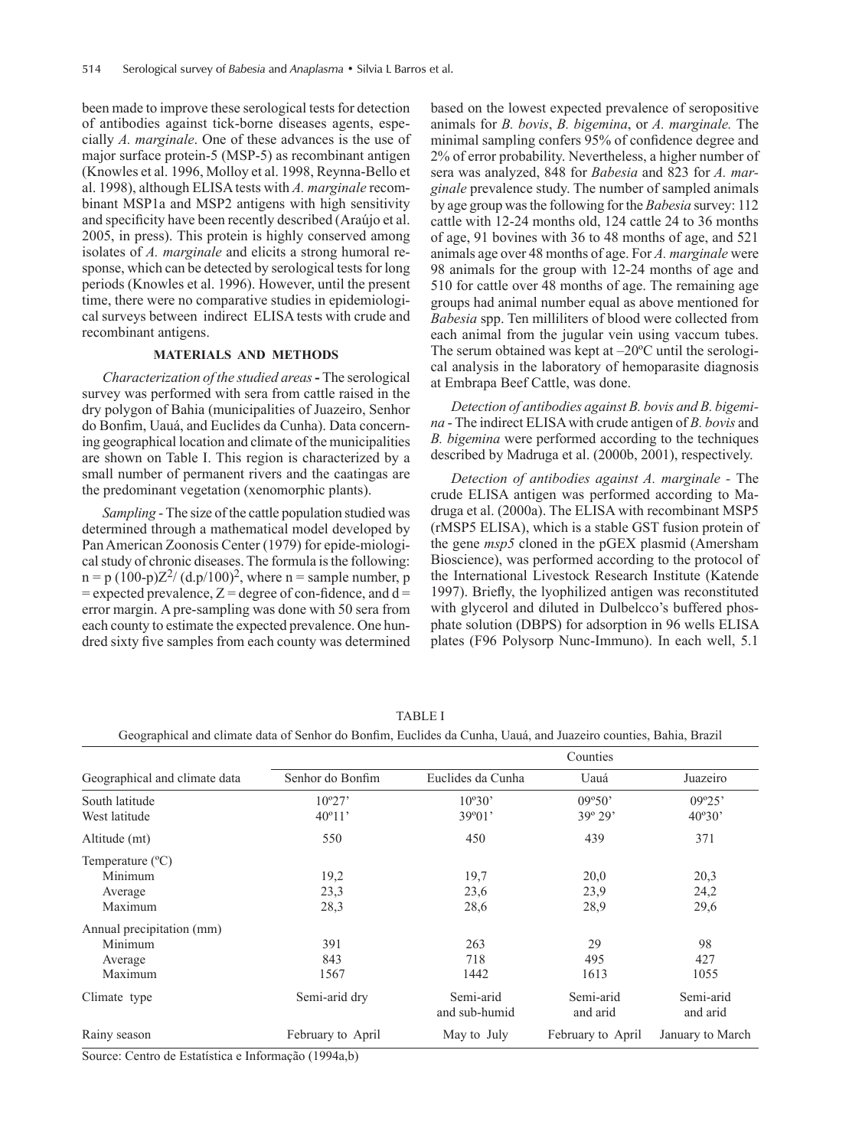been made to improve these serological tests for detection of antibodies against tick-borne diseases agents, especially *A. marginale*. One of these advances is the use of major surface protein-5 (MSP-5) as recombinant antigen (Knowles et al. 1996, Molloy et al. 1998, Reynna-Bello et al. 1998), although ELISA tests with *A. marginale* recombinant MSP1a and MSP2 antigens with high sensitivity and specificity have been recently described (Araújo et al. 2005, in press). This protein is highly conserved among isolates of *A. marginale* and elicits a strong humoral response, which can be detected by serological tests for long periods (Knowles et al. 1996). However, until the present time, there were no comparative studies in epidemiological surveys between indirect ELISA tests with crude and recombinant antigens.

### **MATERIALS AND METHODS**

*Characterization of the studied areas* **-** The serological survey was performed with sera from cattle raised in the dry polygon of Bahia (municipalities of Juazeiro, Senhor do Bonfim, Uauá, and Euclides da Cunha). Data concerning geographical location and climate of the municipalities are shown on Table I. This region is characterized by a small number of permanent rivers and the caatingas are the predominant vegetation (xenomorphic plants).

*Sampling* - The size of the cattle population studied was determined through a mathematical model developed by Pan American Zoonosis Center (1979) for epide-miological study of chronic diseases. The formula is the following:  $n = p (100-p)Z^{2}/ (d.p/100)^{2}$ , where  $n =$  sample number, p  $=$  expected prevalence,  $Z =$  degree of con-fidence, and d  $=$ error margin. A pre-sampling was done with 50 sera from each county to estimate the expected prevalence. One hundred sixty five samples from each county was determined based on the lowest expected prevalence of seropositive animals for *B. bovis*, *B. bigemina*, or *A. marginale.* The minimal sampling confers 95% of confidence degree and 2% of error probability. Nevertheless, a higher number of sera was analyzed, 848 for *Babesia* and 823 for *A. marginale* prevalence study. The number of sampled animals by age group was the following for the *Babesia* survey: 112 cattle with 12-24 months old, 124 cattle 24 to 36 months of age, 91 bovines with 36 to 48 months of age, and 521 animals age over 48 months of age. For *A. marginale* were 98 animals for the group with 12-24 months of age and 510 for cattle over 48 months of age. The remaining age groups had animal number equal as above mentioned for *Babesia* spp. Ten milliliters of blood were collected from each animal from the jugular vein using vaccum tubes. The serum obtained was kept at  $-20^{\circ}$ C until the serological analysis in the laboratory of hemoparasite diagnosis at Embrapa Beef Cattle, was done.

*Detection of antibodies against B. bovis and B. bigemina* - The indirect ELISA with crude antigen of *B. bovis* and *B. bigemina* were performed according to the techniques described by Madruga et al. (2000b, 2001), respectively.

*Detection of antibodies against A. marginale -* The crude ELISA antigen was performed according to Madruga et al. (2000a). The ELISA with recombinant MSP5 (rMSP5 ELISA), which is a stable GST fusion protein of the gene *msp5* cloned in the pGEX plasmid (Amersham Bioscience), was performed according to the protocol of the International Livestock Research Institute (Katende 1997). Briefly, the lyophilized antigen was reconstituted with glycerol and diluted in Dulbelcco's buffered phosphate solution (DBPS) for adsorption in 96 wells ELISA plates (F96 Polysorp Nunc-Immuno). In each well, 5.1

| Geographical and climate data |                   | Counties                   |                       |                       |
|-------------------------------|-------------------|----------------------------|-----------------------|-----------------------|
|                               | Senhor do Bonfim  | Euclides da Cunha          | Uauá                  | Juazeiro              |
| South latitude                | $10^{\circ}27'$   | $10^{\circ}30'$            | 09°50'                | 09°25'                |
| West latitude                 | $40^{\circ}11'$   | 39°01'                     | $39^{\circ} 29'$      | 40°30'                |
| Altitude (mt)                 | 550               | 450                        | 439                   | 371                   |
| Temperature $(^{\circ}C)$     |                   |                            |                       |                       |
| Minimum                       | 19,2              | 19.7                       | 20,0                  | 20,3                  |
| Average                       | 23,3              | 23,6                       | 23,9                  | 24,2                  |
| Maximum                       | 28,3              | 28,6                       | 28,9                  | 29,6                  |
| Annual precipitation (mm)     |                   |                            |                       |                       |
| Minimum                       | 391               | 263                        | 29                    | 98                    |
| Average                       | 843               | 718                        | 495                   | 427                   |
| Maximum                       | 1567              | 1442                       | 1613                  | 1055                  |
| Climate type                  | Semi-arid dry     | Semi-arid<br>and sub-humid | Semi-arid<br>and arid | Semi-arid<br>and arid |
| Rainy season                  | February to April | May to July                | February to April     | January to March      |

TABLE I

| Geographical and climate data of Senhor do Bonfim, Euclides da Cunha, Uauá, and Juazeiro counties, Bahia, Brazil |  |  |
|------------------------------------------------------------------------------------------------------------------|--|--|
|                                                                                                                  |  |  |

Source: Centro de Estatística e Informação (1994a,b)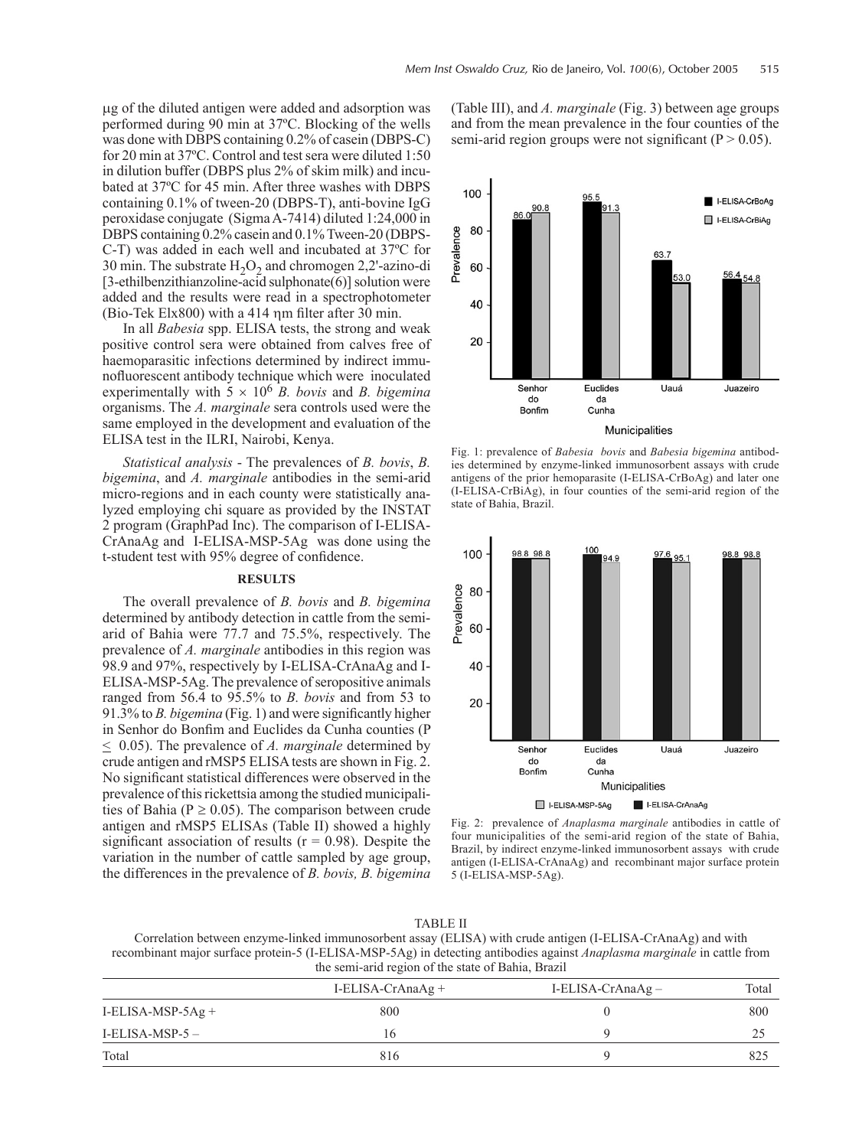µg of the diluted antigen were added and adsorption was performed during 90 min at 37ºC. Blocking of the wells was done with DBPS containing 0.2% of casein (DBPS-C) for 20 min at 37ºC. Control and test sera were diluted 1:50 in dilution buffer (DBPS plus 2% of skim milk) and incubated at 37ºC for 45 min. After three washes with DBPS containing 0.1% of tween-20 (DBPS-T), anti-bovine IgG peroxidase conjugate (Sigma A-7414) diluted 1:24,000 in DBPS containing 0.2% casein and 0.1% Tween-20 (DBPS-C-T) was added in each well and incubated at 37ºC for 30 min. The substrate  $H_2O_2$  and chromogen 2,2'-azino-di [3-ethilbenzithianzoline-acid sulphonate(6)] solution were added and the results were read in a spectrophotometer (Bio-Tek Elx800) with a 414 ηm filter after 30 min.

In all *Babesia* spp. ELISA tests, the strong and weak positive control sera were obtained from calves free of haemoparasitic infections determined by indirect immunofluorescent antibody technique which were inoculated experimentally with  $5 \times 10^6$  *B. bovis* and *B. bigemina* organisms. The *A. marginale* sera controls used were the same employed in the development and evaluation of the ELISA test in the ILRI, Nairobi, Kenya.

*Statistical analysis* - The prevalences of *B. bovis*, *B. bigemina*, and *A. marginale* antibodies in the semi-arid micro-regions and in each county were statistically analyzed employing chi square as provided by the INSTAT 2 program (GraphPad Inc). The comparison of I-ELISA-CrAnaAg and I-ELISA-MSP-5Ag was done using the t-student test with 95% degree of confidence.

# **RESULTS**

The overall prevalence of *B. bovis* and *B. bigemina* determined by antibody detection in cattle from the semiarid of Bahia were 77.7 and 75.5%, respectively. The prevalence of *A. marginale* antibodies in this region was 98.9 and 97%, respectively by I-ELISA-CrAnaAg and I-ELISA-MSP-5Ag. The prevalence of seropositive animals ranged from 56.4 to 95.5% to *B. bovis* and from 53 to 91.3% to *B. bigemina* (Fig. 1) and were significantly higher in Senhor do Bonfim and Euclides da Cunha counties (P < 0.05). The prevalence of *A. marginale* determined by crude antigen and rMSP5 ELISA tests are shown in Fig. 2. No significant statistical differences were observed in the prevalence of this rickettsia among the studied municipalities of Bahia ( $P \ge 0.05$ ). The comparison between crude antigen and rMSP5 ELISAs (Table II) showed a highly significant association of results ( $r = 0.98$ ). Despite the variation in the number of cattle sampled by age group, the differences in the prevalence of *B. bovis, B. bigemina* (Table III), and *A. marginale* (Fig. 3) between age groups and from the mean prevalence in the four counties of the semi-arid region groups were not significant ( $P > 0.05$ ).



Fig. 1: prevalence of *Babesia bovis* and *Babesia bigemina* antibodies determined by enzyme-linked immunosorbent assays with crude antigens of the prior hemoparasite (I-ELISA-CrBoAg) and later one (I-ELISA-CrBiAg), in four counties of the semi-arid region of the state of Bahia, Brazil.



Fig. 2: prevalence of *Anaplasma marginale* antibodies in cattle of four municipalities of the semi-arid region of the state of Bahia, Brazil, by indirect enzyme-linked immunosorbent assays with crude antigen (I-ELISA-CrAnaAg) and recombinant major surface protein 5 (I-ELISA-MSP-5Ag).

Correlation between enzyme-linked immunosorbent assay (ELISA) with crude antigen (I-ELISA-CrAnaAg) and with recombinant major surface protein-5 (I-ELISA-MSP-5Ag) in detecting antibodies against *Anaplasma marginale* in cattle from the semi-arid region of the state of Bahia, Brazil

|                   | I-ELISA-CrAna $Ag +$ | $I-ELISA-CrAnaAg-$ | Total |
|-------------------|----------------------|--------------------|-------|
| I-ELISA-MSP-5Ag + | 800                  |                    | 800   |
| I-ELISA-MSP-5 –   | 16                   |                    | 25    |
| Total             | 816                  |                    | 825   |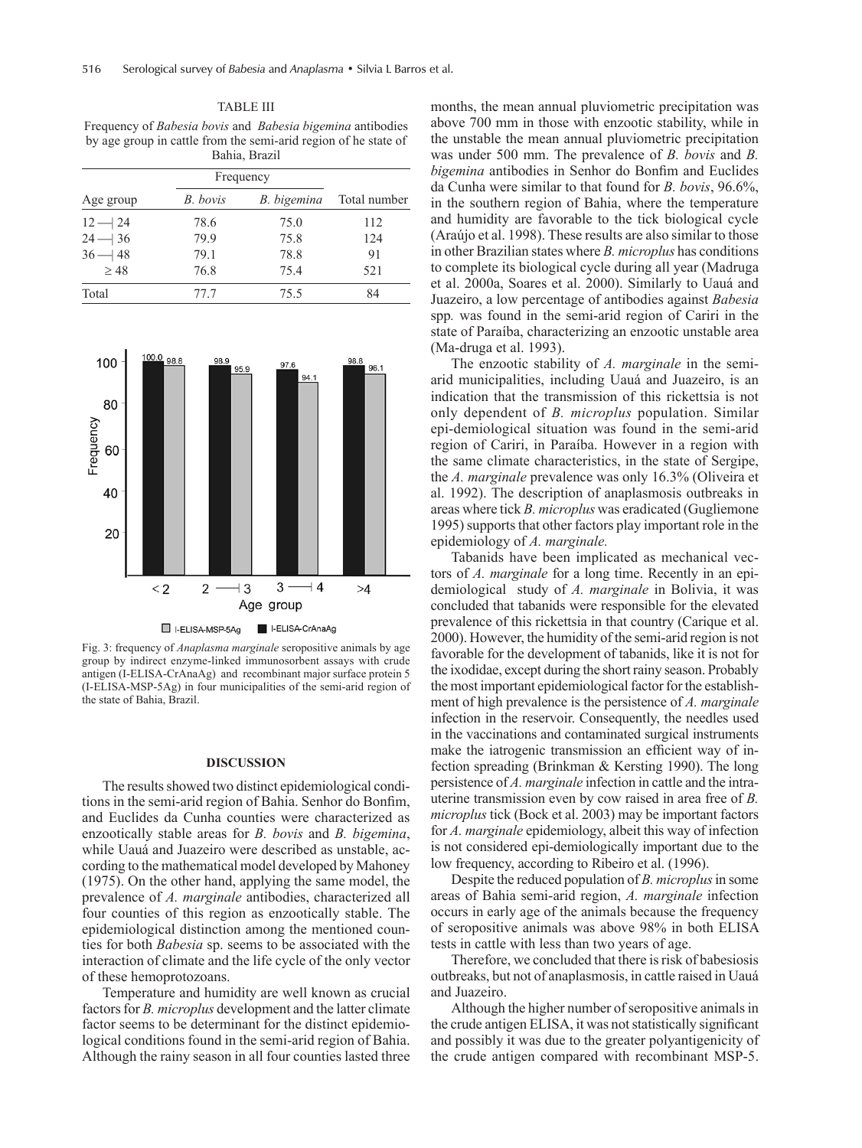TABLE III Frequency of *Babesia bovis* and *Babesia bigemina* antibodies by age group in cattle from the semi-arid region of he state of Bahia, Brazil

|           |          | Frequency   |              |
|-----------|----------|-------------|--------------|
| Age group | B. bovis | B. bigemina | Total number |
| $12 - 24$ | 78.6     | 75.0        | 112          |
| $24 - 36$ | 79.9     | 75.8        | 12.4         |
| $36 - 48$ | 79.1     | 78.8        | 91           |
| $\geq 48$ | 76.8     | 75.4        | 521          |
| Total     | 77.7     | 75.5        | 84           |



Fig. 3: frequency of *Anaplasma marginale* seropositive animals by age group by indirect enzyme-linked immunosorbent assays with crude antigen (I-ELISA-CrAnaAg) and recombinant major surface protein 5 (I-ELISA-MSP-5Ag) in four municipalities of the semi-arid region of the state of Bahia, Brazil.

### **DISCUSSION**

The results showed two distinct epidemiological conditions in the semi-arid region of Bahia. Senhor do Bonfim, and Euclides da Cunha counties were characterized as enzootically stable areas for *B. bovis* and *B. bigemina*, while Uauá and Juazeiro were described as unstable, according to the mathematical model developed by Mahoney (1975). On the other hand, applying the same model, the prevalence of *A. marginale* antibodies, characterized all four counties of this region as enzootically stable. The epidemiological distinction among the mentioned counties for both *Babesia* sp. seems to be associated with the interaction of climate and the life cycle of the only vector of these hemoprotozoans.

Temperature and humidity are well known as crucial factors for *B. microplus* development and the latter climate factor seems to be determinant for the distinct epidemiological conditions found in the semi-arid region of Bahia. Although the rainy season in all four counties lasted three months, the mean annual pluviometric precipitation was above 700 mm in those with enzootic stability, while in the unstable the mean annual pluviometric precipitation was under 500 mm. The prevalence of *B. bovis* and *B. bigemina* antibodies in Senhor do Bonfim and Euclides da Cunha were similar to that found for *B. bovis*, 96.6%, in the southern region of Bahia, where the temperature and humidity are favorable to the tick biological cycle (Araújo et al. 1998). These results are also similar to those in other Brazilian states where *B. microplus* has conditions to complete its biological cycle during all year (Madruga et al. 2000a, Soares et al. 2000). Similarly to Uauá and Juazeiro, a low percentage of antibodies against *Babesia*  spp*.* was found in the semi-arid region of Cariri in the state of Paraíba, characterizing an enzootic unstable area (Ma-druga et al. 1993).

The enzootic stability of *A. marginale* in the semiarid municipalities, including Uauá and Juazeiro, is an indication that the transmission of this rickettsia is not only dependent of *B. microplus* population. Similar epi-demiological situation was found in the semi-arid region of Cariri, in Paraíba. However in a region with the same climate characteristics, in the state of Sergipe, the *A. marginale* prevalence was only 16.3% (Oliveira et al. 1992). The description of anaplasmosis outbreaks in areas where tick *B. microplus* was eradicated (Gugliemone 1995) supports that other factors play important role in the epidemiology of *A. marginale.*

Tabanids have been implicated as mechanical vectors of *A. marginale* for a long time. Recently in an epidemiological study of *A. marginale* in Bolivia, it was concluded that tabanids were responsible for the elevated prevalence of this rickettsia in that country (Carique et al. 2000). However, the humidity of the semi-arid region is not favorable for the development of tabanids, like it is not for the ixodidae, except during the short rainy season. Probably the most important epidemiological factor for the establishment of high prevalence is the persistence of *A. marginale* infection in the reservoir. Consequently, the needles used in the vaccinations and contaminated surgical instruments make the iatrogenic transmission an efficient way of infection spreading (Brinkman & Kersting 1990). The long persistence of *A. marginale* infection in cattle and the intrauterine transmission even by cow raised in area free of *B. microplus* tick (Bock et al. 2003) may be important factors for *A. marginale* epidemiology, albeit this way of infection is not considered epi-demiologically important due to the low frequency, according to Ribeiro et al. (1996).

Despite the reduced population of *B. microplus* in some areas of Bahia semi-arid region, *A. marginale* infection occurs in early age of the animals because the frequency of seropositive animals was above 98% in both ELISA tests in cattle with less than two years of age.

Therefore, we concluded that there is risk of babesiosis outbreaks, but not of anaplasmosis, in cattle raised in Uauá and Juazeiro.

Although the higher number of seropositive animals in the crude antigen ELISA, it was not statistically significant and possibly it was due to the greater polyantigenicity of the crude antigen compared with recombinant MSP-5.